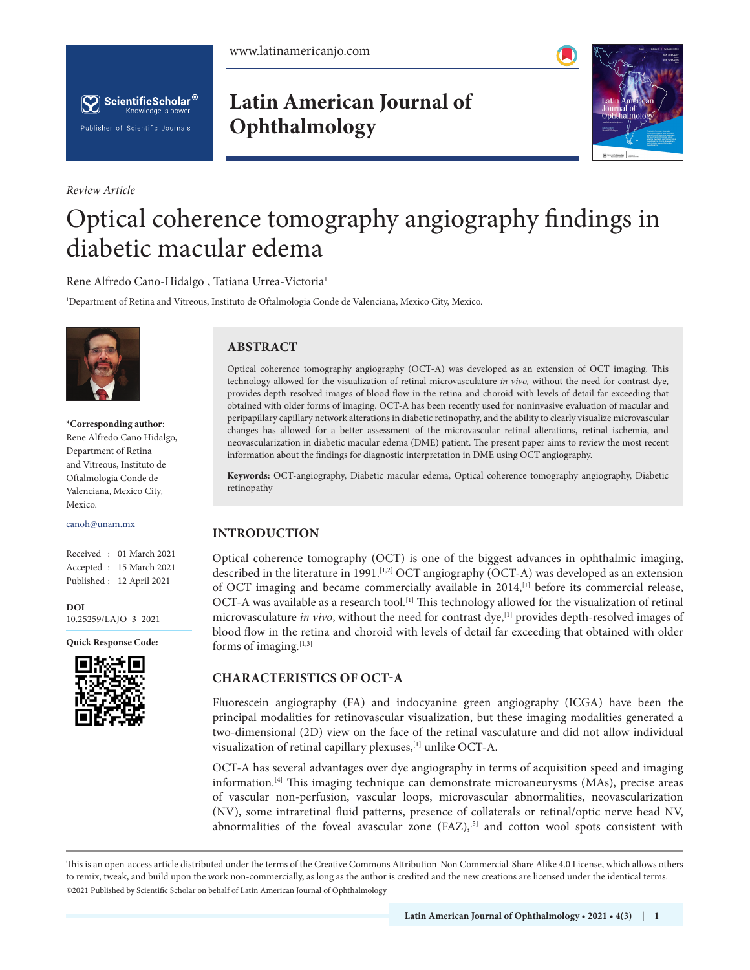



*Review Article*

## **Latin American Journal of Ophthalmology**



# Optical coherence tomography angiography findings in diabetic macular edema

Rene Alfredo Cano-Hidalgo<sup>1</sup>, Tatiana Urrea-Victoria<sup>1</sup>

1 Department of Retina and Vitreous, Instituto de Oftalmologia Conde de Valenciana, Mexico City, Mexico.



**\*Corresponding author:** Rene Alfredo Cano Hidalgo, Department of Retina and Vitreous, Instituto de Oftalmologia Conde de Valenciana, Mexico City, Mexico.

canoh@unam.mx

Received : 01 March 2021 Accepted : 15 March 2021 Published : 12 April 2021

**DOI** [10.25259/LAJO\\_3\\_2021](https://orcid.org/10.25259/LAJO_3_2021)

**Quick Response Code:**



## **ABSTRACT**

Optical coherence tomography angiography (OCT-A) was developed as an extension of OCT imaging. This technology allowed for the visualization of retinal microvasculature *in vivo,* without the need for contrast dye, provides depth-resolved images of blood flow in the retina and choroid with levels of detail far exceeding that obtained with older forms of imaging. OCT-A has been recently used for noninvasive evaluation of macular and peripapillary capillary network alterations in diabetic retinopathy, and the ability to clearly visualize microvascular changes has allowed for a better assessment of the microvascular retinal alterations, retinal ischemia, and neovascularization in diabetic macular edema (DME) patient. The present paper aims to review the most recent information about the findings for diagnostic interpretation in DME using OCT angiography.

**Keywords:** OCT-angiography, Diabetic macular edema, Optical coherence tomography angiography, Diabetic retinopathy

## **INTRODUCTION**

Optical coherence tomography (OCT) is one of the biggest advances in ophthalmic imaging, described in the literature in 1991.<sup>[1,2]</sup> OCT angiography (OCT-A) was developed as an extension of OCT imaging and became commercially available in 2014,[1] before its commercial release, OCT-A was available as a research tool.<sup>[1]</sup> This technology allowed for the visualization of retinal microvasculature *in vivo*, without the need for contrast dye,[1] provides depth-resolved images of blood flow in the retina and choroid with levels of detail far exceeding that obtained with older forms of imaging. $[1,3]$ 

#### **CHARACTERISTICS OF OCT-A**

Fluorescein angiography (FA) and indocyanine green angiography (ICGA) have been the principal modalities for retinovascular visualization, but these imaging modalities generated a two-dimensional (2D) view on the face of the retinal vasculature and did not allow individual visualization of retinal capillary plexuses,[1] unlike OCT-A.

OCT-A has several advantages over dye angiography in terms of acquisition speed and imaging information.[4] This imaging technique can demonstrate microaneurysms (MAs), precise areas of vascular non-perfusion, vascular loops, microvascular abnormalities, neovascularization (NV), some intraretinal fluid patterns, presence of collaterals or retinal/optic nerve head NV, abnormalities of the foveal avascular zone  $(FAZ)$ ,<sup>[5]</sup> and cotton wool spots consistent with

is is an open-access article distributed under the terms of the Creative Commons Attribution-Non Commercial-Share Alike 4.0 License, which allows others to remix, tweak, and build upon the work non-commercially, as long as the author is credited and the new creations are licensed under the identical terms. ©2021 Published by Scientific Scholar on behalf of Latin American Journal of Ophthalmology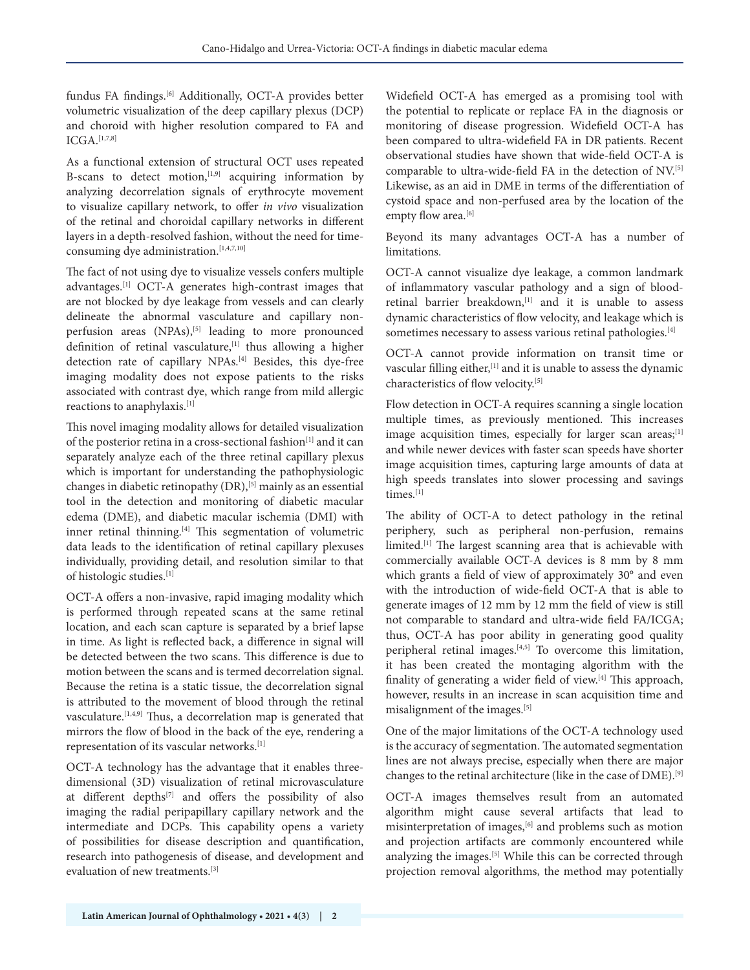fundus FA findings.[6] Additionally, OCT-A provides better volumetric visualization of the deep capillary plexus (DCP) and choroid with higher resolution compared to FA and  $ICGA.$ [1,7,8]

As a functional extension of structural OCT uses repeated B-scans to detect motion,  $[1,9]$  acquiring information by analyzing decorrelation signals of erythrocyte movement to visualize capillary network, to offer *in vivo* visualization of the retinal and choroidal capillary networks in different layers in a depth-resolved fashion, without the need for timeconsuming dye administration.<sup>[1,4,7,10]</sup>

The fact of not using dye to visualize vessels confers multiple advantages.[1] OCT-A generates high-contrast images that are not blocked by dye leakage from vessels and can clearly delineate the abnormal vasculature and capillary nonperfusion areas (NPAs),<sup>[5]</sup> leading to more pronounced definition of retinal vasculature,<sup>[1]</sup> thus allowing a higher detection rate of capillary NPAs.<sup>[4]</sup> Besides, this dye-free imaging modality does not expose patients to the risks associated with contrast dye, which range from mild allergic reactions to anaphylaxis.[1]

This novel imaging modality allows for detailed visualization of the posterior retina in a cross-sectional fashion<sup>[1]</sup> and it can separately analyze each of the three retinal capillary plexus which is important for understanding the pathophysiologic changes in diabetic retinopathy (DR),[5] mainly as an essential tool in the detection and monitoring of diabetic macular edema (DME), and diabetic macular ischemia (DMI) with inner retinal thinning.<sup>[4]</sup> This segmentation of volumetric data leads to the identification of retinal capillary plexuses individually, providing detail, and resolution similar to that of histologic studies.[1]

OCT-A offers a non-invasive, rapid imaging modality which is performed through repeated scans at the same retinal location, and each scan capture is separated by a brief lapse in time. As light is reflected back, a difference in signal will be detected between the two scans. This difference is due to motion between the scans and is termed decorrelation signal. Because the retina is a static tissue, the decorrelation signal is attributed to the movement of blood through the retinal vasculature.<sup>[1,4,9]</sup> Thus, a decorrelation map is generated that mirrors the flow of blood in the back of the eye, rendering a representation of its vascular networks.[1]

OCT-A technology has the advantage that it enables threedimensional (3D) visualization of retinal microvasculature at different depths<sup>[7]</sup> and offers the possibility of also imaging the radial peripapillary capillary network and the intermediate and DCPs. This capability opens a variety of possibilities for disease description and quantification, research into pathogenesis of disease, and development and evaluation of new treatments.[3]

Widefield OCT-A has emerged as a promising tool with the potential to replicate or replace FA in the diagnosis or monitoring of disease progression. Widefield OCT-A has been compared to ultra-widefield FA in DR patients. Recent observational studies have shown that wide-field OCT-A is comparable to ultra-wide-field FA in the detection of NV.[5] Likewise, as an aid in DME in terms of the differentiation of cystoid space and non-perfused area by the location of the empty flow area.<sup>[6]</sup>

Beyond its many advantages OCT-A has a number of limitations.

OCT-A cannot visualize dye leakage, a common landmark of inflammatory vascular pathology and a sign of bloodretinal barrier breakdown,<sup>[1]</sup> and it is unable to assess dynamic characteristics of flow velocity, and leakage which is sometimes necessary to assess various retinal pathologies.<sup>[4]</sup>

OCT-A cannot provide information on transit time or vascular filling either,<sup>[1]</sup> and it is unable to assess the dynamic characteristics of flow velocity.[5]

Flow detection in OCT-A requires scanning a single location multiple times, as previously mentioned. This increases image acquisition times, especially for larger scan areas;<sup>[1]</sup> and while newer devices with faster scan speeds have shorter image acquisition times, capturing large amounts of data at high speeds translates into slower processing and savings times.<sup>[1]</sup>

The ability of OCT-A to detect pathology in the retinal periphery, such as peripheral non-perfusion, remains limited.[1] The largest scanning area that is achievable with commercially available OCT-A devices is 8 mm by 8 mm which grants a field of view of approximately 30° and even with the introduction of wide-field OCT-A that is able to generate images of 12 mm by 12 mm the field of view is still not comparable to standard and ultra-wide field FA/ICGA; thus, OCT-A has poor ability in generating good quality peripheral retinal images.[4,5] To overcome this limitation, it has been created the montaging algorithm with the finality of generating a wider field of view.<sup>[4]</sup> This approach, however, results in an increase in scan acquisition time and misalignment of the images.[5]

One of the major limitations of the OCT-A technology used is the accuracy of segmentation. The automated segmentation lines are not always precise, especially when there are major changes to the retinal architecture (like in the case of DME).[9]

OCT-A images themselves result from an automated algorithm might cause several artifacts that lead to misinterpretation of images,[6] and problems such as motion and projection artifacts are commonly encountered while analyzing the images.[5] While this can be corrected through projection removal algorithms, the method may potentially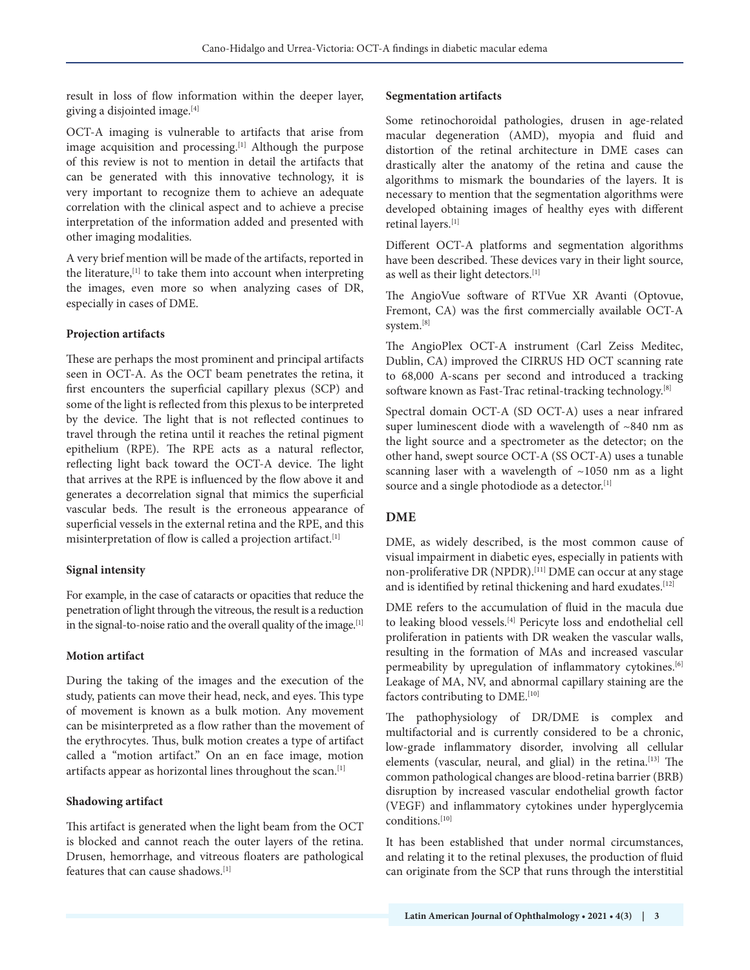result in loss of flow information within the deeper layer, giving a disjointed image.[4]

OCT-A imaging is vulnerable to artifacts that arise from image acquisition and processing.<sup>[1]</sup> Although the purpose of this review is not to mention in detail the artifacts that can be generated with this innovative technology, it is very important to recognize them to achieve an adequate correlation with the clinical aspect and to achieve a precise interpretation of the information added and presented with other imaging modalities.

A very brief mention will be made of the artifacts, reported in the literature,<sup>[1]</sup> to take them into account when interpreting the images, even more so when analyzing cases of DR, especially in cases of DME.

#### **Projection artifacts**

These are perhaps the most prominent and principal artifacts seen in OCT-A. As the OCT beam penetrates the retina, it first encounters the superficial capillary plexus (SCP) and some of the light is reflected from this plexus to be interpreted by the device. The light that is not reflected continues to travel through the retina until it reaches the retinal pigment epithelium (RPE). The RPE acts as a natural reflector, reflecting light back toward the OCT-A device. The light that arrives at the RPE is influenced by the flow above it and generates a decorrelation signal that mimics the superficial vascular beds. The result is the erroneous appearance of superficial vessels in the external retina and the RPE, and this misinterpretation of flow is called a projection artifact.[1]

#### **Signal intensity**

For example, in the case of cataracts or opacities that reduce the penetration of light through the vitreous, the result is a reduction in the signal-to-noise ratio and the overall quality of the image.<sup>[1]</sup>

#### **Motion artifact**

During the taking of the images and the execution of the study, patients can move their head, neck, and eyes. This type of movement is known as a bulk motion. Any movement can be misinterpreted as a flow rather than the movement of the erythrocytes. Thus, bulk motion creates a type of artifact called a "motion artifact." On an en face image, motion artifacts appear as horizontal lines throughout the scan.[1]

#### **Shadowing artifact**

This artifact is generated when the light beam from the OCT is blocked and cannot reach the outer layers of the retina. Drusen, hemorrhage, and vitreous floaters are pathological features that can cause shadows.[1]

#### **Segmentation artifacts**

Some retinochoroidal pathologies, drusen in age-related macular degeneration (AMD), myopia and fluid and distortion of the retinal architecture in DME cases can drastically alter the anatomy of the retina and cause the algorithms to mismark the boundaries of the layers. It is necessary to mention that the segmentation algorithms were developed obtaining images of healthy eyes with different retinal layers.[1]

Different OCT-A platforms and segmentation algorithms have been described. These devices vary in their light source, as well as their light detectors.<sup>[1]</sup>

The AngioVue software of RTVue XR Avanti (Optovue, Fremont, CA) was the first commercially available OCT-A system.[8]

The AngioPlex OCT-A instrument (Carl Zeiss Meditec, Dublin, CA) improved the CIRRUS HD OCT scanning rate to 68,000 A-scans per second and introduced a tracking software known as Fast-Trac retinal-tracking technology.<sup>[8]</sup>

Spectral domain OCT-A (SD OCT-A) uses a near infrared super luminescent diode with a wavelength of ~840 nm as the light source and a spectrometer as the detector; on the other hand, swept source OCT-A (SS OCT-A) uses a tunable scanning laser with a wavelength of ~1050 nm as a light source and a single photodiode as a detector.[1]

#### **DME**

DME, as widely described, is the most common cause of visual impairment in diabetic eyes, especially in patients with non-proliferative DR (NPDR).[11] DME can occur at any stage and is identified by retinal thickening and hard exudates.<sup>[12]</sup>

DME refers to the accumulation of fluid in the macula due to leaking blood vessels.<sup>[4]</sup> Pericyte loss and endothelial cell proliferation in patients with DR weaken the vascular walls, resulting in the formation of MAs and increased vascular permeability by upregulation of inflammatory cytokines.<sup>[6]</sup> Leakage of MA, NV, and abnormal capillary staining are the factors contributing to DME.<sup>[10]</sup>

The pathophysiology of DR/DME is complex and multifactorial and is currently considered to be a chronic, low-grade inflammatory disorder, involving all cellular elements (vascular, neural, and glial) in the retina.<sup>[13]</sup> The common pathological changes are blood-retina barrier (BRB) disruption by increased vascular endothelial growth factor (VEGF) and inflammatory cytokines under hyperglycemia conditions.[10]

It has been established that under normal circumstances, and relating it to the retinal plexuses, the production of fluid can originate from the SCP that runs through the interstitial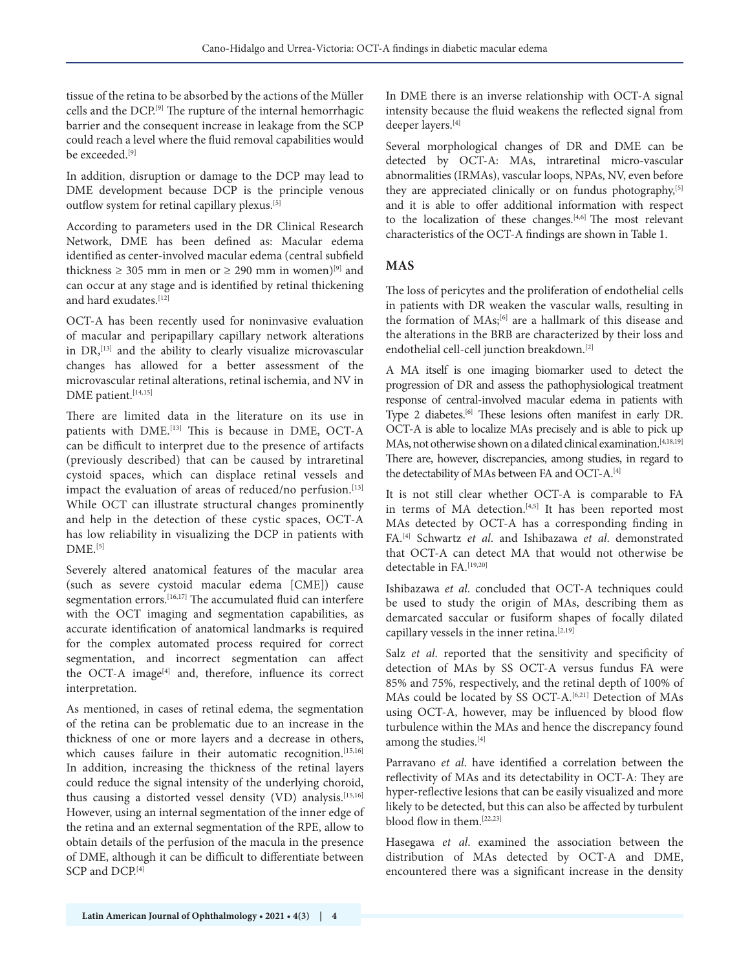tissue of the retina to be absorbed by the actions of the Müller cells and the DCP.[9] The rupture of the internal hemorrhagic barrier and the consequent increase in leakage from the SCP could reach a level where the fluid removal capabilities would be exceeded.<sup>[9]</sup>

In addition, disruption or damage to the DCP may lead to DME development because DCP is the principle venous outflow system for retinal capillary plexus.[5]

According to parameters used in the DR Clinical Research Network, DME has been defined as: Macular edema identified as center-involved macular edema (central subfield thickness  $\geq 305$  mm in men or  $\geq 290$  mm in women)<sup>[9]</sup> and can occur at any stage and is identified by retinal thickening and hard exudates.[12]

OCT-A has been recently used for noninvasive evaluation of macular and peripapillary capillary network alterations in DR,<sup>[13]</sup> and the ability to clearly visualize microvascular changes has allowed for a better assessment of the microvascular retinal alterations, retinal ischemia, and NV in DME patient.<sup>[14,15]</sup>

There are limited data in the literature on its use in patients with DME.<sup>[13]</sup> This is because in DME, OCT-A can be difficult to interpret due to the presence of artifacts (previously described) that can be caused by intraretinal cystoid spaces, which can displace retinal vessels and impact the evaluation of areas of reduced/no perfusion.<sup>[13]</sup> While OCT can illustrate structural changes prominently and help in the detection of these cystic spaces, OCT-A has low reliability in visualizing the DCP in patients with  $DME.<sub>[5]</sub>$ 

Severely altered anatomical features of the macular area (such as severe cystoid macular edema [CME]) cause segmentation errors.<sup>[16,17]</sup> The accumulated fluid can interfere with the OCT imaging and segmentation capabilities, as accurate identification of anatomical landmarks is required for the complex automated process required for correct segmentation, and incorrect segmentation can affect the OCT-A image<sup>[4]</sup> and, therefore, influence its correct interpretation.

As mentioned, in cases of retinal edema, the segmentation of the retina can be problematic due to an increase in the thickness of one or more layers and a decrease in others, which causes failure in their automatic recognition.<sup>[15,16]</sup> In addition, increasing the thickness of the retinal layers could reduce the signal intensity of the underlying choroid, thus causing a distorted vessel density (VD) analysis.<sup>[15,16]</sup> However, using an internal segmentation of the inner edge of the retina and an external segmentation of the RPE, allow to obtain details of the perfusion of the macula in the presence of DME, although it can be difficult to differentiate between SCP and DCP.[4]

In DME there is an inverse relationship with OCT-A signal intensity because the fluid weakens the reflected signal from deeper layers.[4]

Several morphological changes of DR and DME can be detected by OCT-A: MAs, intraretinal micro-vascular abnormalities (IRMAs), vascular loops, NPAs, NV, even before they are appreciated clinically or on fundus photography,<sup>[5]</sup> and it is able to offer additional information with respect to the localization of these changes.[4,6] The most relevant characteristics of the OCT-A findings are shown in Table 1.

### **MAS**

The loss of pericytes and the proliferation of endothelial cells in patients with DR weaken the vascular walls, resulting in the formation of MAs;[6] are a hallmark of this disease and the alterations in the BRB are characterized by their loss and endothelial cell-cell junction breakdown.[2]

A MA itself is one imaging biomarker used to detect the progression of DR and assess the pathophysiological treatment response of central-involved macular edema in patients with Type 2 diabetes.<sup>[6]</sup> These lesions often manifest in early DR. OCT-A is able to localize MAs precisely and is able to pick up MAs, not otherwise shown on a dilated clinical examination.[4,18,19] There are, however, discrepancies, among studies, in regard to the detectability of MAs between FA and OCT-A.[4]

It is not still clear whether OCT-A is comparable to FA in terms of MA detection.<sup>[4,5]</sup> It has been reported most MAs detected by OCT-A has a corresponding finding in FA.[4] Schwartz *et al*. and Ishibazawa *et al*. demonstrated that OCT-A can detect MA that would not otherwise be detectable in FA<sup>[19,20]</sup>

Ishibazawa *et al*. concluded that OCT-A techniques could be used to study the origin of MAs, describing them as demarcated saccular or fusiform shapes of focally dilated capillary vessels in the inner retina.<sup>[2,19]</sup>

Salz *et al*. reported that the sensitivity and specificity of detection of MAs by SS OCT-A versus fundus FA were 85% and 75%, respectively, and the retinal depth of 100% of MAs could be located by SS OCT-A.<sup>[6,21]</sup> Detection of MAs using OCT-A, however, may be influenced by blood flow turbulence within the MAs and hence the discrepancy found among the studies.<sup>[4]</sup>

Parravano *et al*. have identified a correlation between the reflectivity of MAs and its detectability in OCT-A: They are hyper-reflective lesions that can be easily visualized and more likely to be detected, but this can also be affected by turbulent blood flow in them.[22,23]

Hasegawa *et al*. examined the association between the distribution of MAs detected by OCT-A and DME, encountered there was a significant increase in the density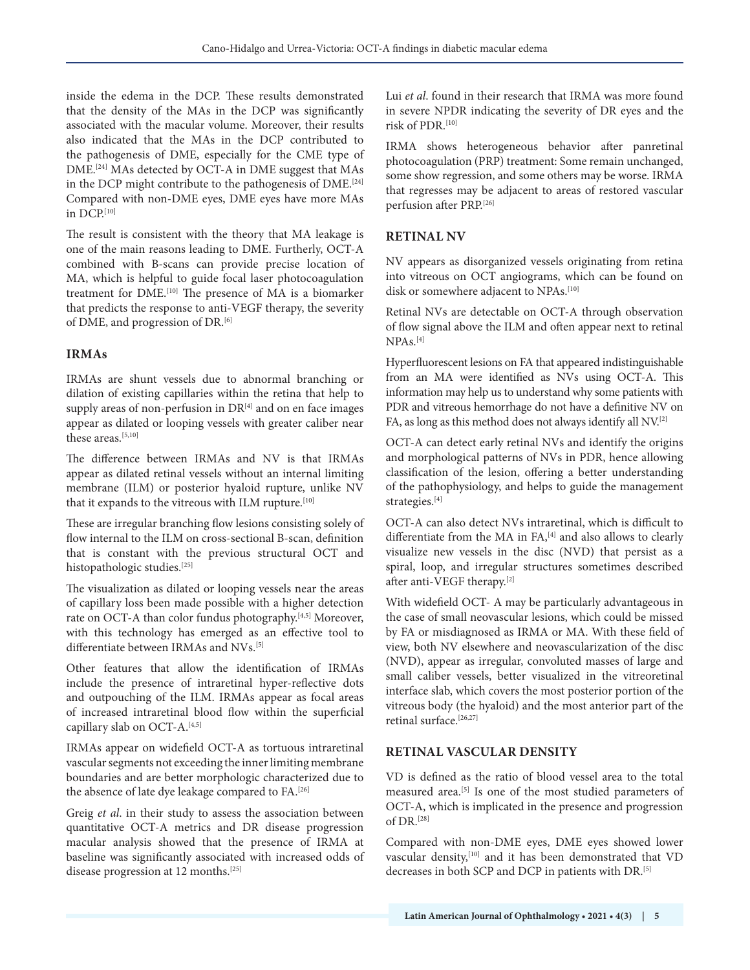inside the edema in the DCP. These results demonstrated that the density of the MAs in the DCP was significantly associated with the macular volume. Moreover, their results also indicated that the MAs in the DCP contributed to the pathogenesis of DME, especially for the CME type of DME.[24] MAs detected by OCT-A in DME suggest that MAs in the DCP might contribute to the pathogenesis of DME.<sup>[24]</sup> Compared with non-DME eyes, DME eyes have more MAs in DCP.[10]

The result is consistent with the theory that MA leakage is one of the main reasons leading to DME. Furtherly, OCT-A combined with B-scans can provide precise location of MA, which is helpful to guide focal laser photocoagulation treatment for DME.[10] The presence of MA is a biomarker that predicts the response to anti-VEGF therapy, the severity of DME, and progression of DR.<sup>[6]</sup>

### **IRMAs**

IRMAs are shunt vessels due to abnormal branching or dilation of existing capillaries within the retina that help to supply areas of non-perfusion in  $DR^{[4]}$  and on en face images appear as dilated or looping vessels with greater caliber near these areas.[5,10]

The difference between IRMAs and NV is that IRMAs appear as dilated retinal vessels without an internal limiting membrane (ILM) or posterior hyaloid rupture, unlike NV that it expands to the vitreous with ILM rupture.<sup>[10]</sup>

These are irregular branching flow lesions consisting solely of flow internal to the ILM on cross-sectional B-scan, definition that is constant with the previous structural OCT and histopathologic studies.[25]

The visualization as dilated or looping vessels near the areas of capillary loss been made possible with a higher detection rate on OCT-A than color fundus photography.[4,5] Moreover, with this technology has emerged as an effective tool to differentiate between IRMAs and NVs.<sup>[5]</sup>

Other features that allow the identification of IRMAs include the presence of intraretinal hyper-reflective dots and outpouching of the ILM. IRMAs appear as focal areas of increased intraretinal blood flow within the superficial capillary slab on OCT-A.<sup>[4,5]</sup>

IRMAs appear on widefield OCT-A as tortuous intraretinal vascular segments not exceeding the inner limiting membrane boundaries and are better morphologic characterized due to the absence of late dye leakage compared to FA.[26]

Greig *et al*. in their study to assess the association between quantitative OCT-A metrics and DR disease progression macular analysis showed that the presence of IRMA at baseline was significantly associated with increased odds of disease progression at 12 months.<sup>[25]</sup>

Lui *et al*. found in their research that IRMA was more found in severe NPDR indicating the severity of DR eyes and the risk of PDR.[10]

IRMA shows heterogeneous behavior after panretinal photocoagulation (PRP) treatment: Some remain unchanged, some show regression, and some others may be worse. IRMA that regresses may be adjacent to areas of restored vascular perfusion after PRP.[26]

### **RETINAL NV**

NV appears as disorganized vessels originating from retina into vitreous on OCT angiograms, which can be found on disk or somewhere adjacent to NPAs.<sup>[10]</sup>

Retinal NVs are detectable on OCT-A through observation of flow signal above the ILM and often appear next to retinal NPAs.[4]

Hyperfluorescent lesions on FA that appeared indistinguishable from an MA were identified as NVs using OCT-A. This information may help us to understand why some patients with PDR and vitreous hemorrhage do not have a definitive NV on FA, as long as this method does not always identify all NV.[2]

OCT-A can detect early retinal NVs and identify the origins and morphological patterns of NVs in PDR, hence allowing classification of the lesion, offering a better understanding of the pathophysiology, and helps to guide the management strategies.[4]

OCT-A can also detect NVs intraretinal, which is difficult to differentiate from the MA in FA,<sup>[4]</sup> and also allows to clearly visualize new vessels in the disc (NVD) that persist as a spiral, loop, and irregular structures sometimes described after anti-VEGF therapy.[2]

With widefield OCT- A may be particularly advantageous in the case of small neovascular lesions, which could be missed by FA or misdiagnosed as IRMA or MA. With these field of view, both NV elsewhere and neovascularization of the disc (NVD), appear as irregular, convoluted masses of large and small caliber vessels, better visualized in the vitreoretinal interface slab, which covers the most posterior portion of the vitreous body (the hyaloid) and the most anterior part of the retinal surface.<sup>[26,27]</sup>

## **RETINAL VASCULAR DENSITY**

VD is defined as the ratio of blood vessel area to the total measured area.[5] Is one of the most studied parameters of OCT-A, which is implicated in the presence and progression of  $DR<sup>[28]</sup>$ 

Compared with non-DME eyes, DME eyes showed lower vascular density,<sup>[10]</sup> and it has been demonstrated that VD decreases in both SCP and DCP in patients with DR.[5]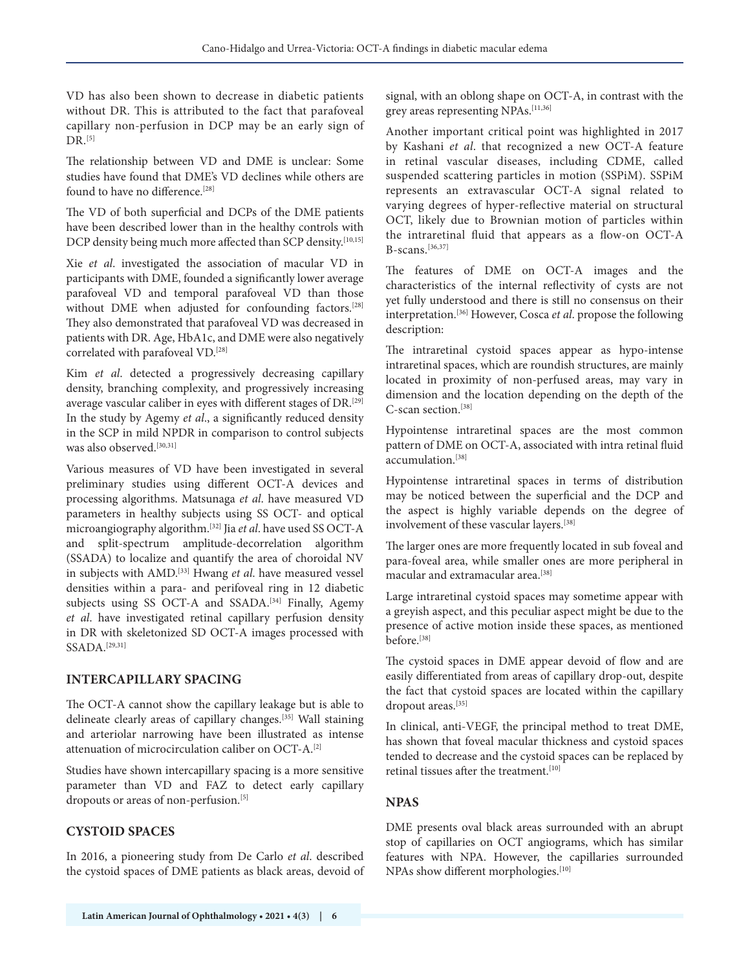VD has also been shown to decrease in diabetic patients without DR. This is attributed to the fact that parafoveal capillary non-perfusion in DCP may be an early sign of  $DR<sup>[5]</sup>$ 

The relationship between VD and DME is unclear: Some studies have found that DME's VD declines while others are found to have no difference.<sup>[28]</sup>

The VD of both superficial and DCPs of the DME patients have been described lower than in the healthy controls with DCP density being much more affected than SCP density.<sup>[10,15]</sup>

Xie *et al*. investigated the association of macular VD in participants with DME, founded a significantly lower average parafoveal VD and temporal parafoveal VD than those without DME when adjusted for confounding factors.<sup>[28]</sup> They also demonstrated that parafoveal VD was decreased in patients with DR. Age, HbA1c, and DME were also negatively correlated with parafoveal VD.[28]

Kim *et al*. detected a progressively decreasing capillary density, branching complexity, and progressively increasing average vascular caliber in eyes with different stages of DR.[29] In the study by Agemy *et al*., a significantly reduced density in the SCP in mild NPDR in comparison to control subjects was also observed.<sup>[30,31]</sup>

Various measures of VD have been investigated in several preliminary studies using different OCT-A devices and processing algorithms. Matsunaga *et al*. have measured VD parameters in healthy subjects using SS OCT- and optical microangiography algorithm.[32] Jia *et al*. have used SS OCT-A and split-spectrum amplitude-decorrelation algorithm (SSADA) to localize and quantify the area of choroidal NV in subjects with AMD.[33] Hwang *et al*. have measured vessel densities within a para- and perifoveal ring in 12 diabetic subjects using SS OCT-A and SSADA.<sup>[34]</sup> Finally, Agemy *et al*. have investigated retinal capillary perfusion density in DR with skeletonized SD OCT-A images processed with SSADA.[29,31]

#### **INTERCAPILLARY SPACING**

The OCT-A cannot show the capillary leakage but is able to delineate clearly areas of capillary changes.[35] Wall staining and arteriolar narrowing have been illustrated as intense attenuation of microcirculation caliber on OCT-A.[2]

Studies have shown intercapillary spacing is a more sensitive parameter than VD and FAZ to detect early capillary dropouts or areas of non-perfusion.<sup>[5]</sup>

## **CYSTOID SPACES**

In 2016, a pioneering study from De Carlo *et al*. described the cystoid spaces of DME patients as black areas, devoid of signal, with an oblong shape on OCT-A, in contrast with the grey areas representing NPAs.[11,36]

Another important critical point was highlighted in 2017 by Kashani *et al*. that recognized a new OCT-A feature in retinal vascular diseases, including CDME, called suspended scattering particles in motion (SSPiM). SSPiM represents an extravascular OCT-A signal related to varying degrees of hyper-reflective material on structural OCT, likely due to Brownian motion of particles within the intraretinal fluid that appears as a flow-on OCT-A B-scans.[36,37]

The features of DME on OCT-A images and the characteristics of the internal reflectivity of cysts are not yet fully understood and there is still no consensus on their interpretation.[36] However, Cosca *et al*. propose the following description:

The intraretinal cystoid spaces appear as hypo-intense intraretinal spaces, which are roundish structures, are mainly located in proximity of non-perfused areas, may vary in dimension and the location depending on the depth of the C-scan section.[38]

Hypointense intraretinal spaces are the most common pattern of DME on OCT-A, associated with intra retinal fluid accumulation.[38]

Hypointense intraretinal spaces in terms of distribution may be noticed between the superficial and the DCP and the aspect is highly variable depends on the degree of involvement of these vascular layers.[38]

The larger ones are more frequently located in sub foveal and para-foveal area, while smaller ones are more peripheral in macular and extramacular area.[38]

Large intraretinal cystoid spaces may sometime appear with a greyish aspect, and this peculiar aspect might be due to the presence of active motion inside these spaces, as mentioned before.[38]

The cystoid spaces in DME appear devoid of flow and are easily differentiated from areas of capillary drop-out, despite the fact that cystoid spaces are located within the capillary dropout areas.<sup>[35]</sup>

In clinical, anti-VEGF, the principal method to treat DME, has shown that foveal macular thickness and cystoid spaces tended to decrease and the cystoid spaces can be replaced by retinal tissues after the treatment.<sup>[10]</sup>

## **NPAS**

DME presents oval black areas surrounded with an abrupt stop of capillaries on OCT angiograms, which has similar features with NPA. However, the capillaries surrounded NPAs show different morphologies.<sup>[10]</sup>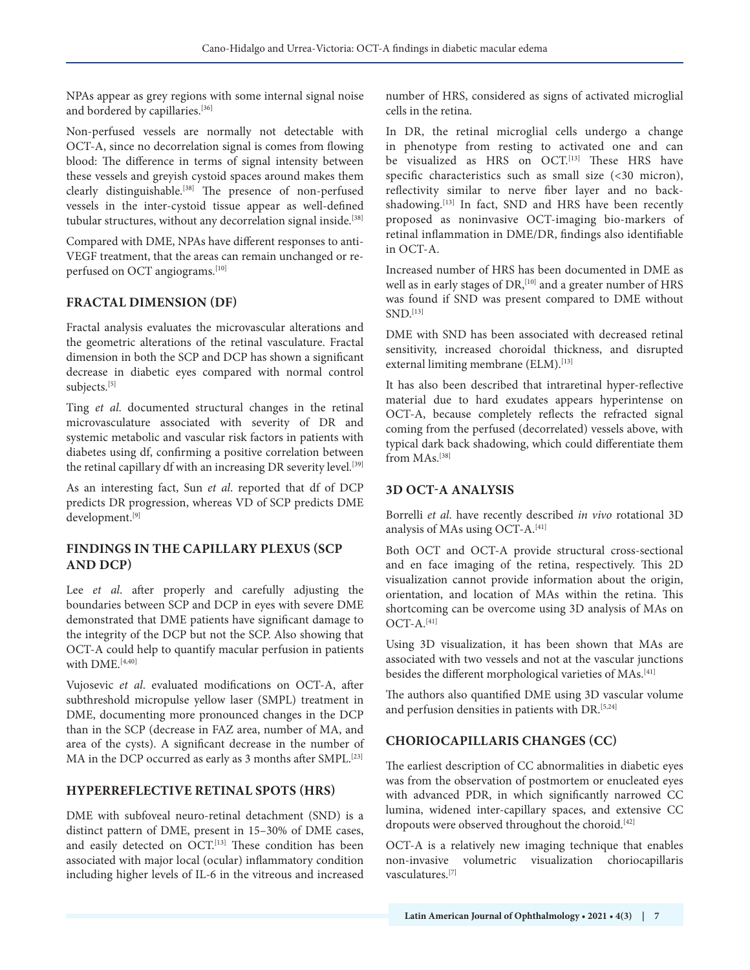NPAs appear as grey regions with some internal signal noise and bordered by capillaries.[36]

Non-perfused vessels are normally not detectable with OCT-A, since no decorrelation signal is comes from flowing blood: The difference in terms of signal intensity between these vessels and greyish cystoid spaces around makes them clearly distinguishable.[38] The presence of non-perfused vessels in the inter-cystoid tissue appear as well-defined tubular structures, without any decorrelation signal inside.<sup>[38]</sup>

Compared with DME, NPAs have different responses to anti-VEGF treatment, that the areas can remain unchanged or reperfused on OCT angiograms.[10]

## **FRACTAL DIMENSION (DF)**

Fractal analysis evaluates the microvascular alterations and the geometric alterations of the retinal vasculature. Fractal dimension in both the SCP and DCP has shown a significant decrease in diabetic eyes compared with normal control subjects.<sup>[5]</sup>

Ting *et al*. documented structural changes in the retinal microvasculature associated with severity of DR and systemic metabolic and vascular risk factors in patients with diabetes using df, confirming a positive correlation between the retinal capillary df with an increasing DR severity level.<sup>[39]</sup>

As an interesting fact, Sun *et al*. reported that df of DCP predicts DR progression, whereas VD of SCP predicts DME development.[9]

### **FINDINGS IN THE CAPILLARY PLEXUS (SCP AND DCP)**

Lee *et al*. after properly and carefully adjusting the boundaries between SCP and DCP in eyes with severe DME demonstrated that DME patients have significant damage to the integrity of the DCP but not the SCP. Also showing that OCT-A could help to quantify macular perfusion in patients with DMF.<sup>[4,40]</sup>

Vujosevic *et al*. evaluated modifications on OCT-A, after subthreshold micropulse yellow laser (SMPL) treatment in DME, documenting more pronounced changes in the DCP than in the SCP (decrease in FAZ area, number of MA, and area of the cysts). A significant decrease in the number of MA in the DCP occurred as early as 3 months after SMPL.<sup>[23]</sup>

## **HYPERREFLECTIVE RETINAL SPOTS (HRS)**

DME with subfoveal neuro-retinal detachment (SND) is a distinct pattern of DME, present in 15–30% of DME cases, and easily detected on OCT.<sup>[13]</sup> These condition has been associated with major local (ocular) inflammatory condition including higher levels of IL-6 in the vitreous and increased number of HRS, considered as signs of activated microglial cells in the retina.

In DR, the retinal microglial cells undergo a change in phenotype from resting to activated one and can be visualized as HRS on OCT.<sup>[13]</sup> These HRS have specific characteristics such as small size (<30 micron), reflectivity similar to nerve fiber layer and no backshadowing.<sup>[13]</sup> In fact, SND and HRS have been recently proposed as noninvasive OCT-imaging bio-markers of retinal inflammation in DME/DR, findings also identifiable in OCT-A.

Increased number of HRS has been documented in DME as well as in early stages of DR,<sup>[10]</sup> and a greater number of HRS was found if SND was present compared to DME without SND.[13]

DME with SND has been associated with decreased retinal sensitivity, increased choroidal thickness, and disrupted external limiting membrane (ELM).<sup>[13]</sup>

It has also been described that intraretinal hyper-reflective material due to hard exudates appears hyperintense on OCT-A, because completely reflects the refracted signal coming from the perfused (decorrelated) vessels above, with typical dark back shadowing, which could differentiate them from MAs.<sup>[38]</sup>

#### **3D OCT-A ANALYSIS**

Borrelli *et al*. have recently described *in vivo* rotational 3D analysis of MAs using OCT-A.[41]

Both OCT and OCT-A provide structural cross-sectional and en face imaging of the retina, respectively. This 2D visualization cannot provide information about the origin, orientation, and location of MAs within the retina. This shortcoming can be overcome using 3D analysis of MAs on  $OCT-A.$ <sup>[41]</sup>

Using 3D visualization, it has been shown that MAs are associated with two vessels and not at the vascular junctions besides the different morphological varieties of MAs.[41]

The authors also quantified DME using 3D vascular volume and perfusion densities in patients with DR.<sup>[5,24]</sup>

## **CHORIOCAPILLARIS CHANGES (CC)**

The earliest description of CC abnormalities in diabetic eyes was from the observation of postmortem or enucleated eyes with advanced PDR, in which significantly narrowed CC lumina, widened inter-capillary spaces, and extensive CC dropouts were observed throughout the choroid.<sup>[42]</sup>

OCT-A is a relatively new imaging technique that enables non-invasive volumetric visualization choriocapillaris vasculatures.[7]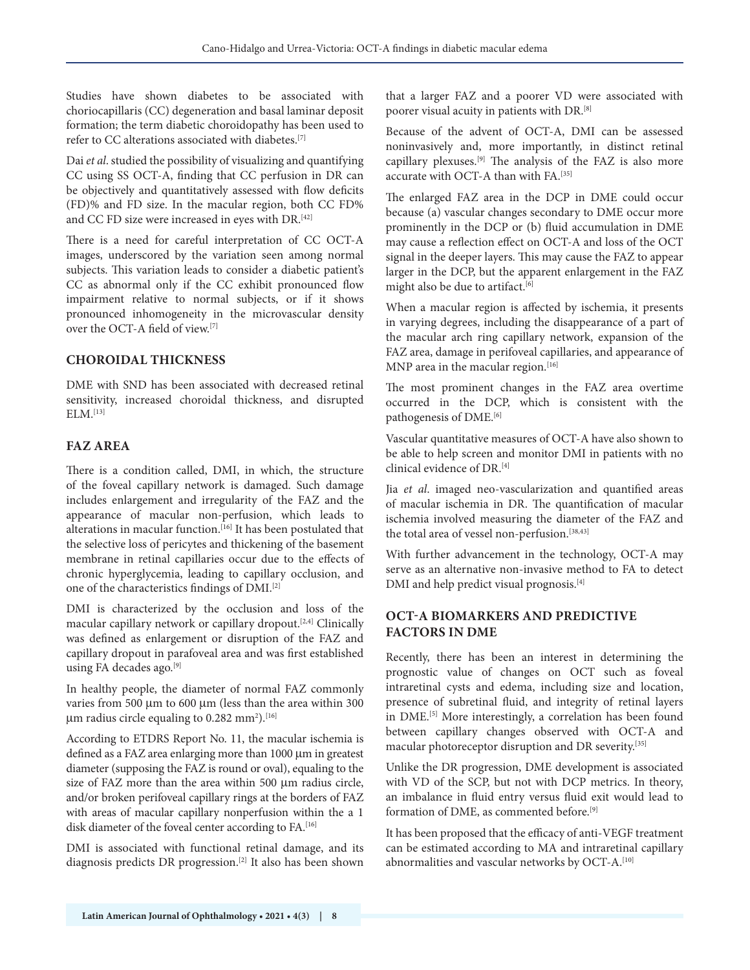Studies have shown diabetes to be associated with choriocapillaris (CC) degeneration and basal laminar deposit formation; the term diabetic choroidopathy has been used to refer to CC alterations associated with diabetes.[7]

Dai *et al*. studied the possibility of visualizing and quantifying CC using SS OCT-A, finding that CC perfusion in DR can be objectively and quantitatively assessed with flow deficits (FD)% and FD size. In the macular region, both CC FD% and CC FD size were increased in eyes with DR.<sup>[42]</sup>

There is a need for careful interpretation of CC OCT-A images, underscored by the variation seen among normal subjects. This variation leads to consider a diabetic patient's CC as abnormal only if the CC exhibit pronounced flow impairment relative to normal subjects, or if it shows pronounced inhomogeneity in the microvascular density over the OCT-A field of view.[7]

### **CHOROIDAL THICKNESS**

DME with SND has been associated with decreased retinal sensitivity, increased choroidal thickness, and disrupted  $ELM$ <sup>[13]</sup>

### **FAZ AREA**

There is a condition called, DMI, in which, the structure of the foveal capillary network is damaged. Such damage includes enlargement and irregularity of the FAZ and the appearance of macular non-perfusion, which leads to alterations in macular function.  ${}^{[16]}$  It has been postulated that the selective loss of pericytes and thickening of the basement membrane in retinal capillaries occur due to the effects of chronic hyperglycemia, leading to capillary occlusion, and one of the characteristics findings of DMI.[2]

DMI is characterized by the occlusion and loss of the macular capillary network or capillary dropout.[2,4] Clinically was defined as enlargement or disruption of the FAZ and capillary dropout in parafoveal area and was first established using FA decades ago.<sup>[9]</sup>

In healthy people, the diameter of normal FAZ commonly varies from 500 μm to 600 μm (less than the area within 300 μm radius circle equaling to 0.282 mm²). $^{\rm [16]}$ 

According to ETDRS Report No. 11, the macular ischemia is defined as a FAZ area enlarging more than 1000 μm in greatest diameter (supposing the FAZ is round or oval), equaling to the size of FAZ more than the area within 500 μm radius circle, and/or broken perifoveal capillary rings at the borders of FAZ with areas of macular capillary nonperfusion within the a 1 disk diameter of the foveal center according to FA.<sup>[16]</sup>

DMI is associated with functional retinal damage, and its diagnosis predicts DR progression.[2] It also has been shown that a larger FAZ and a poorer VD were associated with poorer visual acuity in patients with DR.[8]

Because of the advent of OCT-A, DMI can be assessed noninvasively and, more importantly, in distinct retinal capillary plexuses.[9] The analysis of the FAZ is also more accurate with OCT-A than with FA.[35]

The enlarged FAZ area in the DCP in DME could occur because (a) vascular changes secondary to DME occur more prominently in the DCP or (b) fluid accumulation in DME may cause a reflection effect on OCT-A and loss of the OCT signal in the deeper layers. This may cause the FAZ to appear larger in the DCP, but the apparent enlargement in the FAZ might also be due to artifact.<sup>[6]</sup>

When a macular region is affected by ischemia, it presents in varying degrees, including the disappearance of a part of the macular arch ring capillary network, expansion of the FAZ area, damage in perifoveal capillaries, and appearance of MNP area in the macular region.<sup>[16]</sup>

The most prominent changes in the FAZ area overtime occurred in the DCP, which is consistent with the pathogenesis of DME.<sup>[6]</sup>

Vascular quantitative measures of OCT-A have also shown to be able to help screen and monitor DMI in patients with no clinical evidence of DR.[4]

Jia *et al*. imaged neo-vascularization and quantified areas of macular ischemia in DR. The quantification of macular ischemia involved measuring the diameter of the FAZ and the total area of vessel non-perfusion.<sup>[38,43]</sup>

With further advancement in the technology, OCT-A may serve as an alternative non-invasive method to FA to detect DMI and help predict visual prognosis.[4]

### **OCT-A BIOMARKERS AND PREDICTIVE FACTORS IN DME**

Recently, there has been an interest in determining the prognostic value of changes on OCT such as foveal intraretinal cysts and edema, including size and location, presence of subretinal fluid, and integrity of retinal layers in DME.<sup>[5]</sup> More interestingly, a correlation has been found between capillary changes observed with OCT-A and macular photoreceptor disruption and DR severity.[35]

Unlike the DR progression, DME development is associated with VD of the SCP, but not with DCP metrics. In theory, an imbalance in fluid entry versus fluid exit would lead to formation of DME, as commented before.<sup>[9]</sup>

It has been proposed that the efficacy of anti-VEGF treatment can be estimated according to MA and intraretinal capillary abnormalities and vascular networks by OCT-A.<sup>[10]</sup>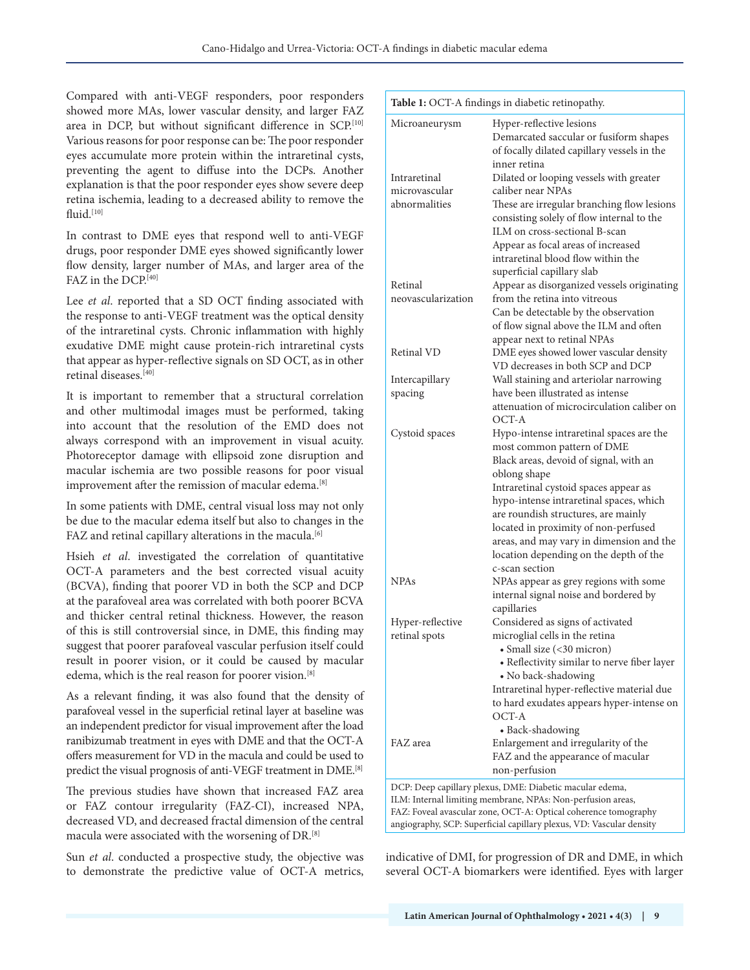Compared with anti-VEGF responders, poor responders showed more MAs, lower vascular density, and larger FAZ area in DCP, but without significant difference in SCP.[10] Various reasons for poor response can be: The poor responder eyes accumulate more protein within the intraretinal cysts, preventing the agent to diffuse into the DCPs. Another explanation is that the poor responder eyes show severe deep retina ischemia, leading to a decreased ability to remove the fluid. $[10]$ 

In contrast to DME eyes that respond well to anti-VEGF drugs, poor responder DME eyes showed significantly lower flow density, larger number of MAs, and larger area of the FAZ in the DCP.<sup>[40]</sup>

Lee *et al*. reported that a SD OCT finding associated with the response to anti-VEGF treatment was the optical density of the intraretinal cysts. Chronic inflammation with highly exudative DME might cause protein-rich intraretinal cysts that appear as hyper-reflective signals on SD OCT, as in other retinal diseases.[40]

It is important to remember that a structural correlation and other multimodal images must be performed, taking into account that the resolution of the EMD does not always correspond with an improvement in visual acuity. Photoreceptor damage with ellipsoid zone disruption and macular ischemia are two possible reasons for poor visual improvement after the remission of macular edema.<sup>[8]</sup>

In some patients with DME, central visual loss may not only be due to the macular edema itself but also to changes in the FAZ and retinal capillary alterations in the macula.<sup>[6]</sup>

Hsieh *et al*. investigated the correlation of quantitative OCT-A parameters and the best corrected visual acuity (BCVA), finding that poorer VD in both the SCP and DCP at the parafoveal area was correlated with both poorer BCVA and thicker central retinal thickness. However, the reason of this is still controversial since, in DME, this finding may suggest that poorer parafoveal vascular perfusion itself could result in poorer vision, or it could be caused by macular edema, which is the real reason for poorer vision.<sup>[8]</sup>

As a relevant finding, it was also found that the density of parafoveal vessel in the superficial retinal layer at baseline was an independent predictor for visual improvement after the load ranibizumab treatment in eyes with DME and that the OCT-A offers measurement for VD in the macula and could be used to predict the visual prognosis of anti-VEGF treatment in DME.[8]

The previous studies have shown that increased FAZ area or FAZ contour irregularity (FAZ-CI), increased NPA, decreased VD, and decreased fractal dimension of the central macula were associated with the worsening of DR.[8]

Sun *et al*. conducted a prospective study, the objective was to demonstrate the predictive value of OCT-A metrics,

| Table 1: OCT-A findings in diabetic retinopathy. |
|--------------------------------------------------|
|--------------------------------------------------|

| <b>Rubre 1:</b> OO1 71 midnigs in diabetic retmopathy.               |                                                                                                                          |  |
|----------------------------------------------------------------------|--------------------------------------------------------------------------------------------------------------------------|--|
| Microaneurysm                                                        | Hyper-reflective lesions<br>Demarcated saccular or fusiform shapes<br>of focally dilated capillary vessels in the        |  |
|                                                                      | inner retina                                                                                                             |  |
| Intraretinal                                                         | Dilated or looping vessels with greater                                                                                  |  |
| microvascular                                                        | caliber near NPAs                                                                                                        |  |
| abnormalities                                                        | These are irregular branching flow lesions<br>consisting solely of flow internal to the<br>ILM on cross-sectional B-scan |  |
|                                                                      | Appear as focal areas of increased                                                                                       |  |
|                                                                      | intraretinal blood flow within the                                                                                       |  |
|                                                                      | superficial capillary slab                                                                                               |  |
| Retinal                                                              | Appear as disorganized vessels originating                                                                               |  |
| neovascularization                                                   | from the retina into vitreous                                                                                            |  |
|                                                                      | Can be detectable by the observation                                                                                     |  |
|                                                                      | of flow signal above the ILM and often                                                                                   |  |
|                                                                      | appear next to retinal NPAs                                                                                              |  |
| Retinal VD                                                           | DME eyes showed lower vascular density                                                                                   |  |
|                                                                      | VD decreases in both SCP and DCP                                                                                         |  |
| Intercapillary                                                       | Wall staining and arteriolar narrowing                                                                                   |  |
| spacing                                                              | have been illustrated as intense                                                                                         |  |
|                                                                      | attenuation of microcirculation caliber on<br>OCT-A                                                                      |  |
| Cystoid spaces                                                       | Hypo-intense intraretinal spaces are the                                                                                 |  |
|                                                                      | most common pattern of DME                                                                                               |  |
|                                                                      | Black areas, devoid of signal, with an                                                                                   |  |
|                                                                      | oblong shape                                                                                                             |  |
|                                                                      | Intraretinal cystoid spaces appear as                                                                                    |  |
|                                                                      | hypo-intense intraretinal spaces, which                                                                                  |  |
|                                                                      | are roundish structures, are mainly                                                                                      |  |
|                                                                      | located in proximity of non-perfused                                                                                     |  |
|                                                                      | areas, and may vary in dimension and the                                                                                 |  |
|                                                                      | location depending on the depth of the                                                                                   |  |
| <b>NPAs</b>                                                          | c-scan section                                                                                                           |  |
|                                                                      | NPAs appear as grey regions with some<br>internal signal noise and bordered by                                           |  |
|                                                                      | capillaries                                                                                                              |  |
| Hyper-reflective                                                     | Considered as signs of activated                                                                                         |  |
| retinal spots                                                        | microglial cells in the retina                                                                                           |  |
|                                                                      | · Small size (<30 micron)                                                                                                |  |
|                                                                      | • Reflectivity similar to nerve fiber layer                                                                              |  |
|                                                                      | • No back-shadowing                                                                                                      |  |
|                                                                      | Intraretinal hyper-reflective material due                                                                               |  |
|                                                                      | to hard exudates appears hyper-intense on                                                                                |  |
|                                                                      | OCT-A                                                                                                                    |  |
|                                                                      | • Back-shadowing                                                                                                         |  |
| FAZ area                                                             | Enlargement and irregularity of the                                                                                      |  |
|                                                                      | FAZ and the appearance of macular                                                                                        |  |
|                                                                      | non-perfusion                                                                                                            |  |
| DCP: Deep capillary plexus, DME: Diabetic macular edema,             |                                                                                                                          |  |
| ILM: Internal limiting membrane, NPAs: Non-perfusion areas,          |                                                                                                                          |  |
| FAZ: Foveal avascular zone, OCT-A: Optical coherence tomography      |                                                                                                                          |  |
| angiography, SCP: Superficial capillary plexus, VD: Vascular density |                                                                                                                          |  |

indicative of DMI, for progression of DR and DME, in which several OCT-A biomarkers were identified. Eyes with larger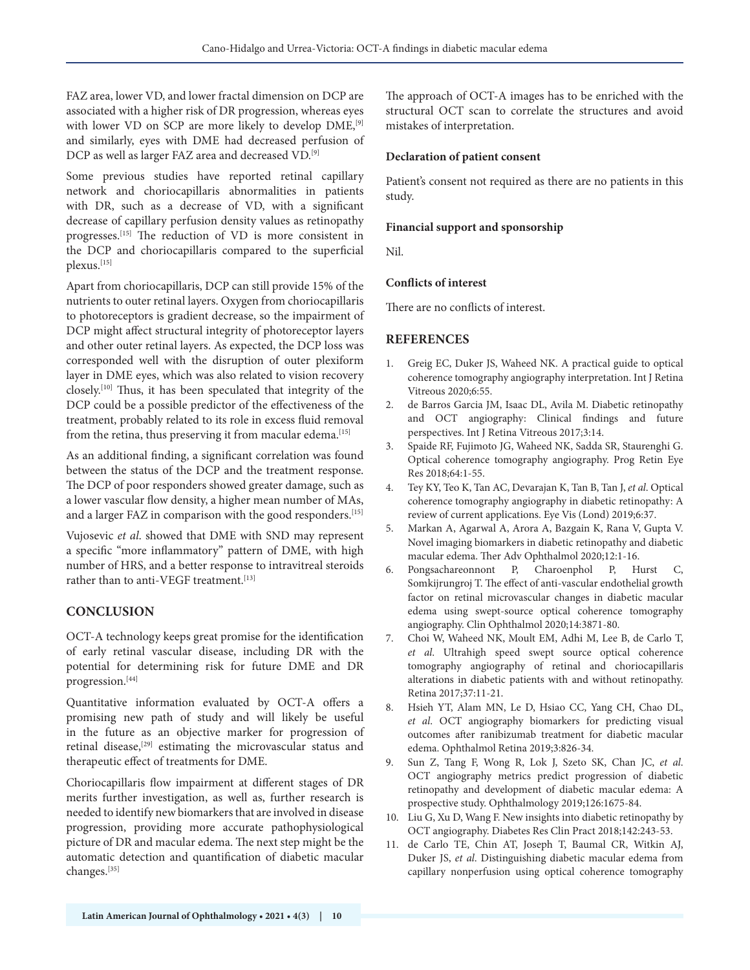FAZ area, lower VD, and lower fractal dimension on DCP are associated with a higher risk of DR progression, whereas eyes with lower VD on SCP are more likely to develop DME,<sup>[9]</sup> and similarly, eyes with DME had decreased perfusion of DCP as well as larger FAZ area and decreased VD.[9]

Some previous studies have reported retinal capillary network and choriocapillaris abnormalities in patients with DR, such as a decrease of VD, with a significant decrease of capillary perfusion density values as retinopathy progresses.[15] The reduction of VD is more consistent in the DCP and choriocapillaris compared to the superficial plexus.[15]

Apart from choriocapillaris, DCP can still provide 15% of the nutrients to outer retinal layers. Oxygen from choriocapillaris to photoreceptors is gradient decrease, so the impairment of DCP might affect structural integrity of photoreceptor layers and other outer retinal layers. As expected, the DCP loss was corresponded well with the disruption of outer plexiform layer in DME eyes, which was also related to vision recovery closely.[10] Thus, it has been speculated that integrity of the DCP could be a possible predictor of the effectiveness of the treatment, probably related to its role in excess fluid removal from the retina, thus preserving it from macular edema.<sup>[15]</sup>

As an additional finding, a significant correlation was found between the status of the DCP and the treatment response. The DCP of poor responders showed greater damage, such as a lower vascular flow density, a higher mean number of MAs, and a larger FAZ in comparison with the good responders.<sup>[15]</sup>

Vujosevic *et al*. showed that DME with SND may represent a specific "more inflammatory" pattern of DME, with high number of HRS, and a better response to intravitreal steroids rather than to anti-VEGF treatment.<sup>[13]</sup>

#### **CONCLUSION**

OCT-A technology keeps great promise for the identification of early retinal vascular disease, including DR with the potential for determining risk for future DME and DR progression.[44]

Quantitative information evaluated by OCT-A offers a promising new path of study and will likely be useful in the future as an objective marker for progression of retinal disease,<sup>[29]</sup> estimating the microvascular status and therapeutic effect of treatments for DME.

Choriocapillaris flow impairment at different stages of DR merits further investigation, as well as, further research is needed to identify new biomarkers that are involved in disease progression, providing more accurate pathophysiological picture of DR and macular edema. The next step might be the automatic detection and quantification of diabetic macular changes.[35]

The approach of OCT-A images has to be enriched with the structural OCT scan to correlate the structures and avoid mistakes of interpretation.

#### **Declaration of patient consent**

Patient's consent not required as there are no patients in this study.

#### **Financial support and sponsorship**

Nil.

#### **Conflicts of interest**

There are no conflicts of interest.

#### **REFERENCES**

- 1. Greig EC, Duker JS, Waheed NK. A practical guide to optical coherence tomography angiography interpretation. Int J Retina Vitreous 2020;6:55.
- 2. de Barros Garcia JM, Isaac DL, Avila M. Diabetic retinopathy and OCT angiography: Clinical findings and future perspectives. Int J Retina Vitreous 2017;3:14.
- 3. Spaide RF, Fujimoto JG, Waheed NK, Sadda SR, Staurenghi G. Optical coherence tomography angiography. Prog Retin Eye Res 2018;64:1-55.
- 4. Tey KY, Teo K, Tan AC, Devarajan K, Tan B, Tan J, *et al*. Optical coherence tomography angiography in diabetic retinopathy: A review of current applications. Eye Vis (Lond) 2019;6:37.
- 5. Markan A, Agarwal A, Arora A, Bazgain K, Rana V, Gupta V. Novel imaging biomarkers in diabetic retinopathy and diabetic macular edema. Ther Adv Ophthalmol 2020;12:1-16.
- 6. Pongsachareonnont P, Charoenphol P, Hurst C, Somkijrungroj T. The effect of anti-vascular endothelial growth factor on retinal microvascular changes in diabetic macular edema using swept-source optical coherence tomography angiography. Clin Ophthalmol 2020;14:3871-80.
- 7. Choi W, Waheed NK, Moult EM, Adhi M, Lee B, de Carlo T, *et al*. Ultrahigh speed swept source optical coherence tomography angiography of retinal and choriocapillaris alterations in diabetic patients with and without retinopathy. Retina 2017;37:11-21.
- 8. Hsieh YT, Alam MN, Le D, Hsiao CC, Yang CH, Chao DL, *et al*. OCT angiography biomarkers for predicting visual outcomes after ranibizumab treatment for diabetic macular edema. Ophthalmol Retina 2019;3:826-34.
- 9. Sun Z, Tang F, Wong R, Lok J, Szeto SK, Chan JC, *et al*. OCT angiography metrics predict progression of diabetic retinopathy and development of diabetic macular edema: A prospective study. Ophthalmology 2019;126:1675-84.
- 10. Liu G, Xu D, Wang F. New insights into diabetic retinopathy by OCT angiography. Diabetes Res Clin Pract 2018;142:243-53.
- 11. de Carlo TE, Chin AT, Joseph T, Baumal CR, Witkin AJ, Duker JS, *et al*. Distinguishing diabetic macular edema from capillary nonperfusion using optical coherence tomography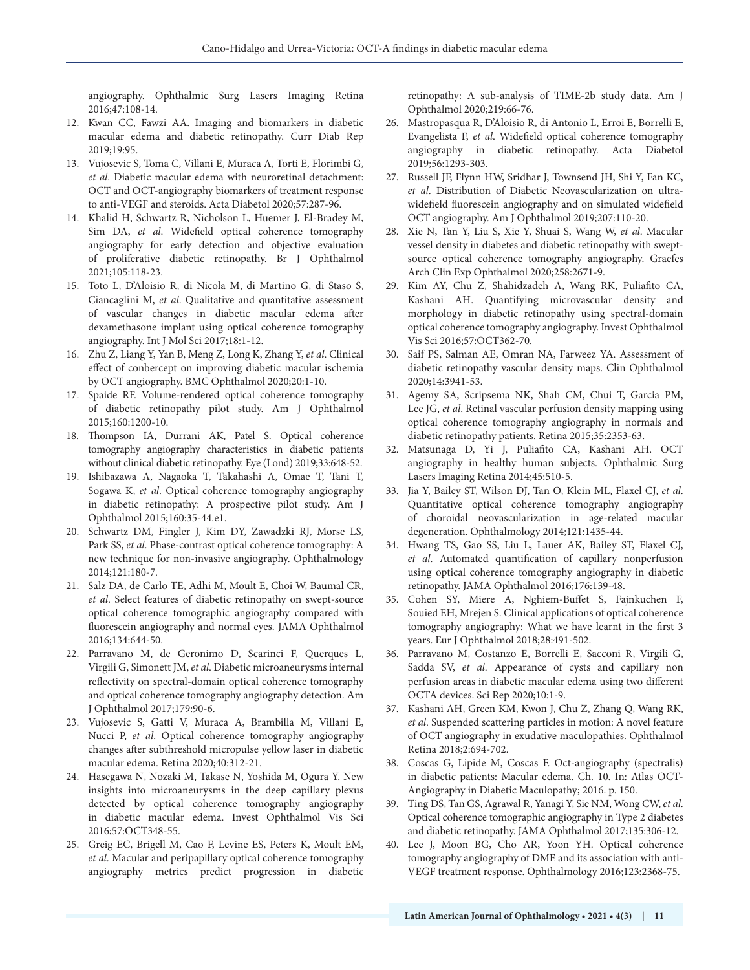angiography. Ophthalmic Surg Lasers Imaging Retina 2016;47:108-14.

- 12. Kwan CC, Fawzi AA. Imaging and biomarkers in diabetic macular edema and diabetic retinopathy. Curr Diab Rep 2019;19:95.
- 13. Vujosevic S, Toma C, Villani E, Muraca A, Torti E, Florimbi G, *et al*. Diabetic macular edema with neuroretinal detachment: OCT and OCT-angiography biomarkers of treatment response to anti-VEGF and steroids. Acta Diabetol 2020;57:287-96.
- 14. Khalid H, Schwartz R, Nicholson L, Huemer J, El-Bradey M, Sim DA, *et al*. Widefield optical coherence tomography angiography for early detection and objective evaluation of proliferative diabetic retinopathy. Br J Ophthalmol 2021;105:118-23.
- 15. Toto L, D'Aloisio R, di Nicola M, di Martino G, di Staso S, Ciancaglini M, *et al*. Qualitative and quantitative assessment of vascular changes in diabetic macular edema after dexamethasone implant using optical coherence tomography angiography. Int J Mol Sci 2017;18:1-12.
- 16. Zhu Z, Liang Y, Yan B, Meng Z, Long K, Zhang Y, *et al*. Clinical effect of conbercept on improving diabetic macular ischemia by OCT angiography. BMC Ophthalmol 2020;20:1-10.
- 17. Spaide RF. Volume-rendered optical coherence tomography of diabetic retinopathy pilot study. Am J Ophthalmol 2015;160:1200-10.
- 18. Thompson IA, Durrani AK, Patel S. Optical coherence tomography angiography characteristics in diabetic patients without clinical diabetic retinopathy. Eye (Lond) 2019;33:648-52.
- 19. Ishibazawa A, Nagaoka T, Takahashi A, Omae T, Tani T, Sogawa K, *et al*. Optical coherence tomography angiography in diabetic retinopathy: A prospective pilot study. Am J Ophthalmol 2015;160:35-44.e1.
- 20. Schwartz DM, Fingler J, Kim DY, Zawadzki RJ, Morse LS, Park SS, *et al*. Phase-contrast optical coherence tomography: A new technique for non-invasive angiography. Ophthalmology 2014;121:180-7.
- 21. Salz DA, de Carlo TE, Adhi M, Moult E, Choi W, Baumal CR, *et al*. Select features of diabetic retinopathy on swept-source optical coherence tomographic angiography compared with fluorescein angiography and normal eyes. JAMA Ophthalmol 2016;134:644-50.
- 22. Parravano M, de Geronimo D, Scarinci F, Querques L, Virgili G, Simonett JM, *et al*. Diabetic microaneurysms internal reflectivity on spectral-domain optical coherence tomography and optical coherence tomography angiography detection. Am J Ophthalmol 2017;179:90-6.
- 23. Vujosevic S, Gatti V, Muraca A, Brambilla M, Villani E, Nucci P, *et al.* Optical coherence tomography angiography changes after subthreshold micropulse yellow laser in diabetic macular edema. Retina 2020;40:312-21.
- 24. Hasegawa N, Nozaki M, Takase N, Yoshida M, Ogura Y. New insights into microaneurysms in the deep capillary plexus detected by optical coherence tomography angiography in diabetic macular edema. Invest Ophthalmol Vis Sci 2016;57:OCT348-55.
- 25. Greig EC, Brigell M, Cao F, Levine ES, Peters K, Moult EM, *et al*. Macular and peripapillary optical coherence tomography angiography metrics predict progression in diabetic

retinopathy: A sub-analysis of TIME-2b study data. Am J Ophthalmol 2020;219:66-76.

- 26. Mastropasqua R, D'Aloisio R, di Antonio L, Erroi E, Borrelli E, Evangelista F, *et al*. Widefield optical coherence tomography angiography in diabetic retinopathy. Acta Diabetol 2019;56:1293-303.
- 27. Russell JF, Flynn HW, Sridhar J, Townsend JH, Shi Y, Fan KC, *et al*. Distribution of Diabetic Neovascularization on ultrawidefield fluorescein angiography and on simulated widefield OCT angiography. Am J Ophthalmol 2019;207:110-20.
- 28. Xie N, Tan Y, Liu S, Xie Y, Shuai S, Wang W, *et al*. Macular vessel density in diabetes and diabetic retinopathy with sweptsource optical coherence tomography angiography. Graefes Arch Clin Exp Ophthalmol 2020;258:2671-9.
- 29. Kim AY, Chu Z, Shahidzadeh A, Wang RK, Puliafito CA, Kashani AH. Quantifying microvascular density and morphology in diabetic retinopathy using spectral-domain optical coherence tomography angiography. Invest Ophthalmol Vis Sci 2016;57:OCT362-70.
- 30. Saif PS, Salman AE, Omran NA, Farweez YA. Assessment of diabetic retinopathy vascular density maps. Clin Ophthalmol 2020;14:3941-53.
- 31. Agemy SA, Scripsema NK, Shah CM, Chui T, Garcia PM, Lee JG, *et al*. Retinal vascular perfusion density mapping using optical coherence tomography angiography in normals and diabetic retinopathy patients. Retina 2015;35:2353-63.
- 32. Matsunaga D, Yi J, Puliafito CA, Kashani AH. OCT angiography in healthy human subjects. Ophthalmic Surg Lasers Imaging Retina 2014;45:510-5.
- 33. Jia Y, Bailey ST, Wilson DJ, Tan O, Klein ML, Flaxel CJ, *et al*. Quantitative optical coherence tomography angiography of choroidal neovascularization in age-related macular degeneration. Ophthalmology 2014;121:1435-44.
- 34. Hwang TS, Gao SS, Liu L, Lauer AK, Bailey ST, Flaxel CJ, *et al*. Automated quantification of capillary nonperfusion using optical coherence tomography angiography in diabetic retinopathy. JAMA Ophthalmol 2016;176:139-48.
- 35. Cohen SY, Miere A, Nghiem-Buffet S, Fajnkuchen F, Souied EH, Mrejen S. Clinical applications of optical coherence tomography angiography: What we have learnt in the first 3 years. Eur J Ophthalmol 2018;28:491-502.
- 36. Parravano M, Costanzo E, Borrelli E, Sacconi R, Virgili G, Sadda SV, *et al*. Appearance of cysts and capillary non perfusion areas in diabetic macular edema using two different OCTA devices. Sci Rep 2020;10:1-9.
- 37. Kashani AH, Green KM, Kwon J, Chu Z, Zhang Q, Wang RK, *et al*. Suspended scattering particles in motion: A novel feature of OCT angiography in exudative maculopathies. Ophthalmol Retina 2018;2:694-702.
- 38. Coscas G, Lipide M, Coscas F. Oct-angiography (spectralis) in diabetic patients: Macular edema. Ch. 10. In: Atlas OCT-Angiography in Diabetic Maculopathy; 2016. p. 150.
- 39. Ting DS, Tan GS, Agrawal R, Yanagi Y, Sie NM, Wong CW, *et al*. Optical coherence tomographic angiography in Type 2 diabetes and diabetic retinopathy. JAMA Ophthalmol 2017;135:306-12.
- 40. Lee J, Moon BG, Cho AR, Yoon YH. Optical coherence tomography angiography of DME and its association with anti-VEGF treatment response. Ophthalmology 2016;123:2368-75.